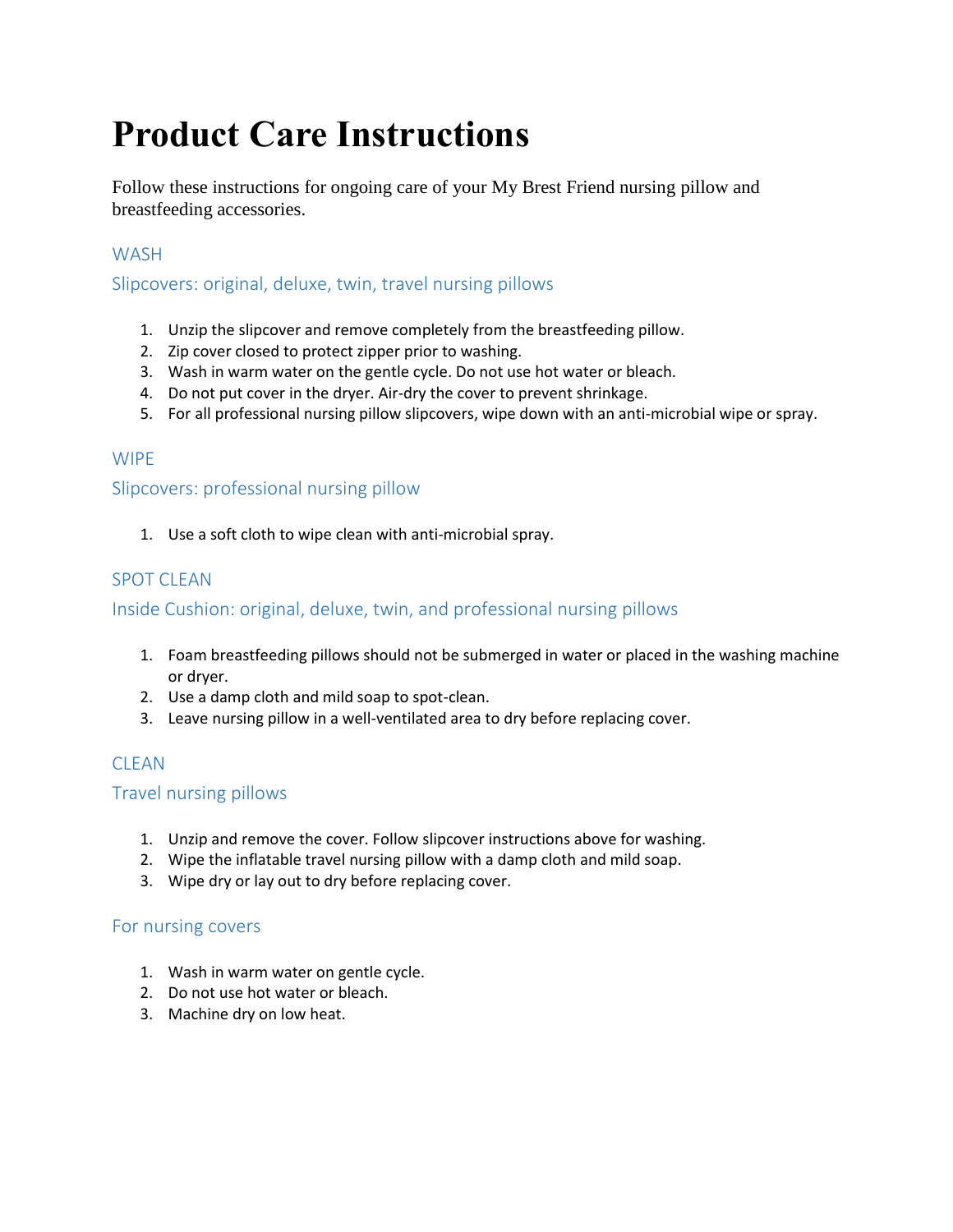# **Product Care Instructions**

Follow these instructions for ongoing care of your My Brest Friend nursing pillow and breastfeeding accessories.

### **WASH**

Slipcovers: original, deluxe, twin, travel nursing pillows

- 1. Unzip the slipcover and remove completely from the breastfeeding pillow.
- 2. Zip cover closed to protect zipper prior to washing.
- 3. Wash in warm water on the gentle cycle. Do not use hot water or bleach.
- 4. Do not put cover in the dryer. Air-dry the cover to prevent shrinkage.
- 5. For all professional nursing pillow slipcovers, wipe down with an anti-microbial wipe or spray.

#### **WIPF**

Slipcovers: professional nursing pillow

1. Use a soft cloth to wipe clean with anti-microbial spray.

### SPOT CLEAN

#### Inside Cushion: original, deluxe, twin, and professional nursing pillows

- 1. Foam breastfeeding pillows should not be submerged in water or placed in the washing machine or dryer.
- 2. Use a damp cloth and mild soap to spot-clean.
- 3. Leave nursing pillow in a well-ventilated area to dry before replacing cover.

### **CLEAN**

#### Travel nursing pillows

- 1. Unzip and remove the cover. Follow slipcover instructions above for washing.
- 2. Wipe the inflatable travel nursing pillow with a damp cloth and mild soap.
- 3. Wipe dry or lay out to dry before replacing cover.

#### For nursing covers

- 1. Wash in warm water on gentle cycle.
- 2. Do not use hot water or bleach.
- 3. Machine dry on low heat.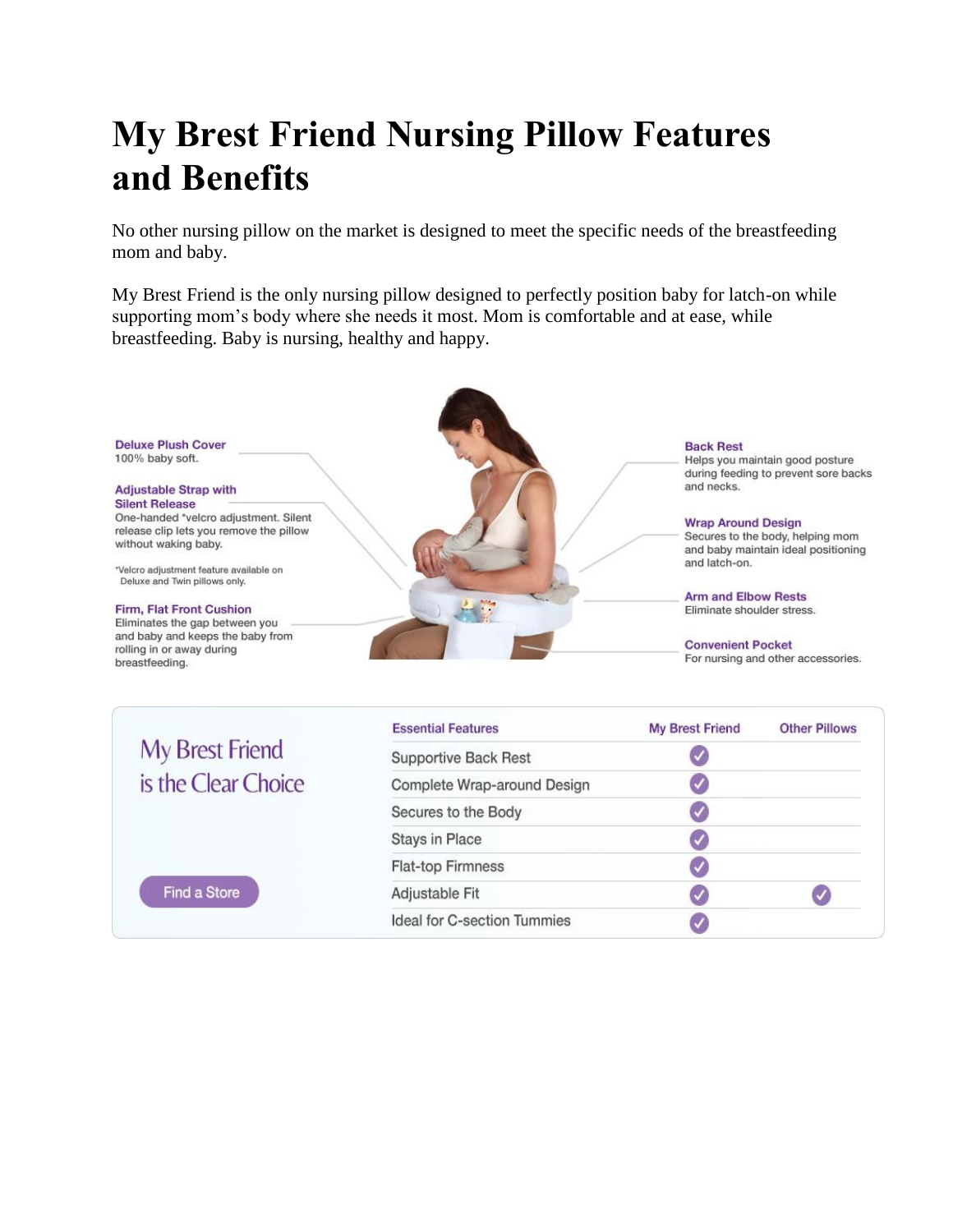# **My Brest Friend Nursing Pillow Features and Benefits**

No other nursing pillow on the market is designed to meet the specific needs of the breastfeeding mom and baby.

My Brest Friend is the only nursing pillow designed to perfectly position baby for latch-on while supporting mom's body where she needs it most. Mom is comfortable and at ease, while breastfeeding. Baby is nursing, healthy and happy.



| My Brest Friend<br>is the Clear Choice<br>Find a Store | <b>Essential Features</b>   | <b>My Brest Friend</b> | <b>Other Pillows</b> |
|--------------------------------------------------------|-----------------------------|------------------------|----------------------|
|                                                        | <b>Supportive Back Rest</b> |                        |                      |
|                                                        | Complete Wrap-around Design | V                      |                      |
|                                                        | Secures to the Body         |                        |                      |
|                                                        | <b>Stays in Place</b>       | V                      |                      |
|                                                        | Flat-top Firmness           | ✓                      |                      |
|                                                        | Adjustable Fit              | $\blacktriangledown$   |                      |
|                                                        | Ideal for C-section Tummies |                        |                      |